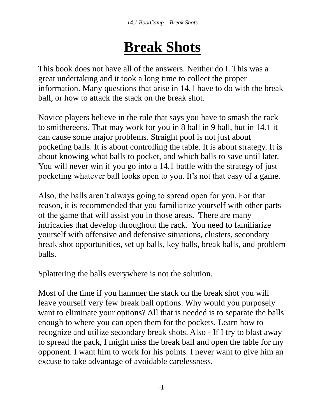## **Break Shots**

This book does not have all of the answers. Neither do I. This was a great undertaking and it took a long time to collect the proper information. Many questions that arise in 14.1 have to do with the break ball, or how to attack the stack on the break shot.

Novice players believe in the rule that says you have to smash the rack to smithereens. That may work for you in 8 ball in 9 ball, but in 14.1 it can cause some major problems. Straight pool is not just about pocketing balls. It is about controlling the table. It is about strategy. It is about knowing what balls to pocket, and which balls to save until later. You will never win if you go into a 14.1 battle with the strategy of just pocketing whatever ball looks open to you. It's not that easy of a game.

Also, the balls aren't always going to spread open for you. For that reason, it is recommended that you familiarize yourself with other parts of the game that will assist you in those areas. There are many intricacies that develop throughout the rack. You need to familiarize yourself with offensive and defensive situations, clusters, secondary break shot opportunities, set up balls, key balls, break balls, and problem balls.

Splattering the balls everywhere is not the solution.

Most of the time if you hammer the stack on the break shot you will leave yourself very few break ball options. Why would you purposely want to eliminate your options? All that is needed is to separate the balls enough to where you can open them for the pockets. Learn how to recognize and utilize secondary break shots. Also - If I try to blast away to spread the pack, I might miss the break ball and open the table for my opponent. I want him to work for his points. I never want to give him an excuse to take advantage of avoidable carelessness.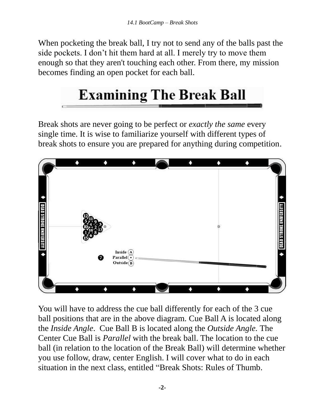When pocketing the break ball, I try not to send any of the balls past the side pockets. I don't hit them hard at all. I merely try to move them enough so that they aren't touching each other. From there, my mission becomes finding an open pocket for each ball.

## **Examining The Break Ball**

Break shots are never going to be perfect or *exactly the same* every single time. It is wise to familiarize yourself with different types of break shots to ensure you are prepared for anything during competition.



You will have to address the cue ball differently for each of the 3 cue ball positions that are in the above diagram. Cue Ball A is located along the *Inside Angle*. Cue Ball B is located along the *Outside Angle.* The Center Cue Ball is *Parallel* with the break ball. The location to the cue ball (in relation to the location of the Break Ball) will determine whether you use follow, draw, center English. I will cover what to do in each situation in the next class, entitled "Break Shots: Rules of Thumb.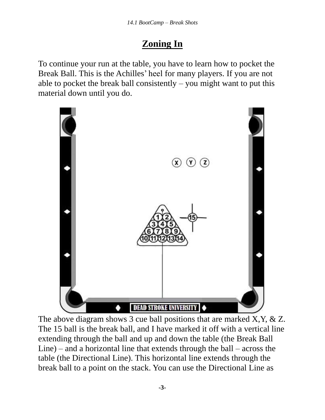## **Zoning In**

To continue your run at the table, you have to learn how to pocket the Break Ball. This is the Achilles' heel for many players. If you are not able to pocket the break ball consistently  $-$  you might want to put this material down until you do.



The above diagram shows 3 cue ball positions that are marked X, Y, & Z. The 15 ball is the break ball, and I have marked it off with a vertical line extending through the ball and up and down the table (the Break Ball Line) – and a horizontal line that extends through the ball – across the table (the Directional Line). This horizontal line extends through the break ball to a point on the stack. You can use the Directional Line as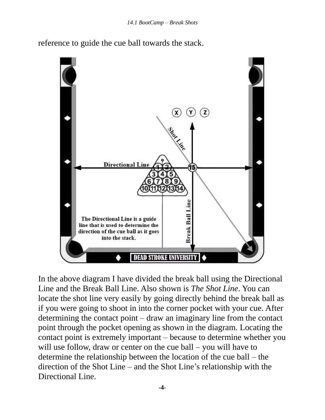reference to guide the cue ball towards the stack.



In the above diagram I have divided the break ball using the Directional Line and the Break Ball Line. Also shown is *The Shot Line*. You can locate the shot line very easily by going directly behind the break ball as if you were going to shoot in into the corner pocket with your cue. After determining the contact point – draw an imaginary line from the contact point through the pocket opening as shown in the diagram. Locating the contact point is extremely important – because to determine whether you will use follow, draw or center on the cue ball – you will have to determine the relationship between the location of the cue ball – the direction of the Shot Line – and the Shot Line's relationship with the Directional Line.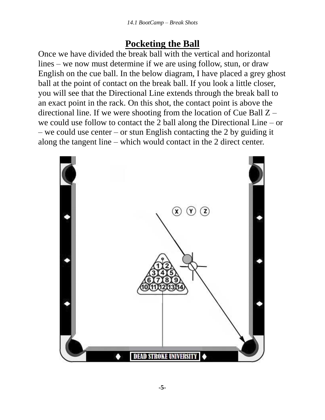## **Pocketing the Ball**

Once we have divided the break ball with the vertical and horizontal lines – we now must determine if we are using follow, stun, or draw English on the cue ball. In the below diagram, I have placed a grey ghost ball at the point of contact on the break ball. If you look a little closer, you will see that the Directional Line extends through the break ball to an exact point in the rack. On this shot, the contact point is above the directional line. If we were shooting from the location of Cue Ball Z – we could use follow to contact the 2 ball along the Directional Line – or – we could use center – or stun English contacting the 2 by guiding it along the tangent line – which would contact in the 2 direct center.

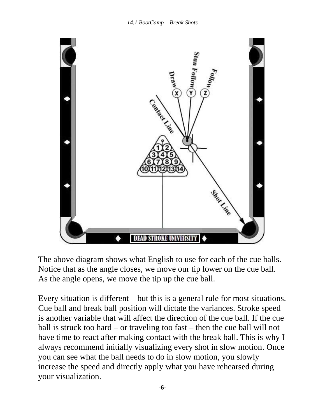

The above diagram shows what English to use for each of the cue balls. Notice that as the angle closes, we move our tip lower on the cue ball. As the angle opens, we move the tip up the cue ball.

Every situation is different – but this is a general rule for most situations. Cue ball and break ball position will dictate the variances. Stroke speed is another variable that will affect the direction of the cue ball. If the cue ball is struck too hard – or traveling too fast – then the cue ball will not have time to react after making contact with the break ball. This is why I always recommend initially visualizing every shot in slow motion. Once you can see what the ball needs to do in slow motion, you slowly increase the speed and directly apply what you have rehearsed during your visualization.